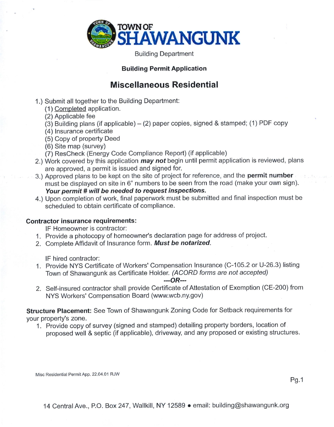

Building Department

### Building Permit Application

# Miscellaneous Residential

- 1.) Submit all together to the Building Department:
	- (1) Completed application.
	- (2) Applicable fee
	- (3) Building plans (if applicable)  $-$  (2) paper copies, signed & stamped; (1) PDF copy
	- (4) lnsurance certificate
	- (5) Copy of property Deed
	- (6) Site map (survey)
	- (7) ResCheck (Energy Code Compliance Report) (if applicable)
- 2.) Work covered by this application *may not* begin until permit application is reviewed, plans are approved, a permit is issued and signed for.
- 3.) Approved plans to be kept on the site of project for reference, and the **permit number** must be displayed on site in 6" numbers to be seen from the road (make your own sign). Your permit # will be needed to request inspections.
- 4.) Upon completion of work, final paperwork must be submitted and final inspection must be scheduled to obtain certificate of compliance.

### Contractor insurance requirements:

lF Homeowner is contracior:

- 1. Provide a photocopy of homeowner's declaration page for address of project.
- 2. Complete Affidavit of Insurance form. Must be notarized.

lF hired contractor:

<sup>1</sup>. Provide NYS Certificate of Workers' Compensation Insurance (C-105.2 or U-26.3) listing Town of Shawangunk as Certificate Holder. (ACORD forms are not accepted)

#### $-$ - $OR$ ---

2. Self-insured contractor shall provide Certificate of Attestation of Exemption (CE-200) from NYS Workers' Compensation Board (www.wcb.ny.gov)

Structure Placement: See Town of Shawangunk Zoning Code for Setback requirements for your property's zone.

1. Provide copy of survey (signed and stamped) detailing property borders, location of proposed well & septic (if applicable), driveway, and any proposed or existing structures.

Misc Residential Permit App. 22.04.01 RJW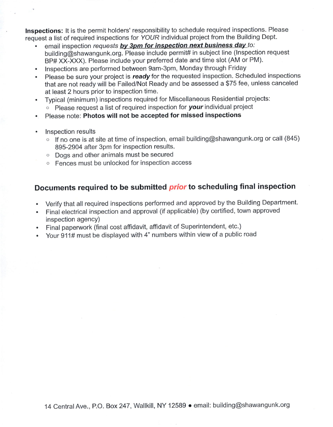Inspections: It is the permit holders' responsibility to schedule required inspections. Please request a list of required inspections for YOUR individual project from the Building Dept.

- email inspection requests by 3pm for inspection next business day to: building@shawangunk.org. Please include permit# in subject line (lnspection request BP# XX-XXX). Please include your preferred date and time slot (AM or PM).
- . lnspections are performed between 9am-3pm, Monday through Friday
- Please be sure your project is ready for the requested inspection. Scheduled inspections that are not ready will be Failed/Not Ready and be assessed a \$75 fee, unless canceled at least 2 hours prior to inspection time.
- . Typical (minimum) inspections required for Miscellaneous Residential projects:  $\circ$  Please request a list of required inspection for your individual project
- . Please note: Photos will not be accepted for missed inspections
- . lnspection results
	- $\circ$  If no one is at site at time of inspection, email building@shawangunk.org or call (845) 895-2904 after 3pm for inspection results.
	- $\circ$  Dogs and other animals must be secured
	- o Fences must be unlocked for inspection access

# Documents required to be submitted *prior* to scheduling final inspection

- Verify that all required inspections performed and approved by the Building Department.
- . Final electrical inspection and approval (if applicable) (by certified, town approved inspection agencY)
- . Final paperwork (final cost affidavit, affidavit of Superintendent, etc.)
- . Your 911# must be displayed with 4" numbers within view of a public road